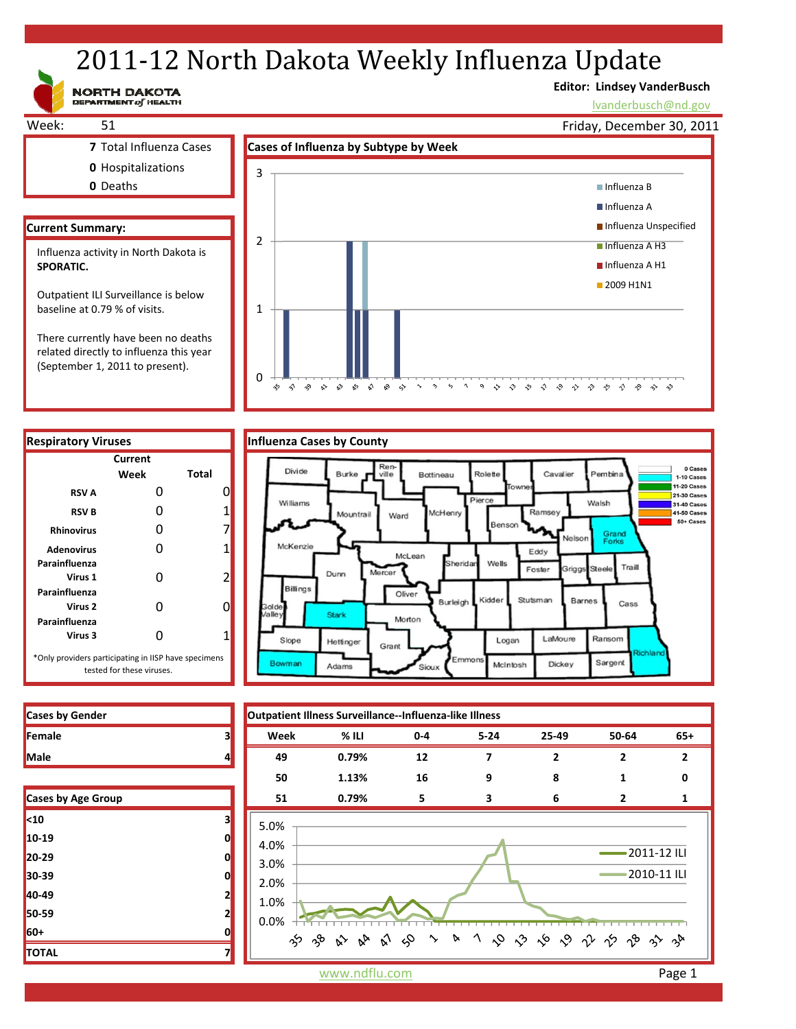# 2011-12 North Dakota Weekly Influenza Update

NORTH DAKOTA

# **Editor: Lindsey VanderBusch**

や や や ぐ や や や や や や や

lvanderbusch@nd.gov



 $\mathcal{S}^{\diamondsuit}=\mathcal{S}^{\diamondsuit}$  $\sim$  $\gamma$  $\varsigma_2$  $\Delta$  $\circ$ 

**Respiratory Viruses Influenza Cases by County Current Week Total RSV A** 0 0 0 **RSV B** 0 1 **Rhinovirus** 0 7 Adenovirus 0 1 **Parainfluenza Virus 1** 0 2 **Parainfluenza Virus 2** 0 0 **Parainfluenza Virus 3** 0 1 \*Only providers participating in IISP have specimens tested for these viruses.

(September 1, 2011 to present).

 $\mathbf{v}^{\prime}$  $\sqrt{2}$ 

 $\approx$ 

0

÷,  $\hat{\gamma}$  $\gamma^{\bullet}_{\gamma}$ 



| <b>Cases by Gender</b> |    | Outpatient Illness Surveillance--Influenza-like Illness |                                   |       |          |       |                |                |
|------------------------|----|---------------------------------------------------------|-----------------------------------|-------|----------|-------|----------------|----------------|
| Female                 | 3  | Week                                                    | % ILI                             | $0-4$ | $5 - 24$ | 25-49 | 50-64          | $65+$          |
| Male                   | 4  | 49                                                      | 0.79%                             | 12    | 7        | 2     | $\overline{2}$ | $\overline{2}$ |
|                        |    | 50                                                      | 1.13%                             | 16    | 9        | 8     |                | ŋ              |
| Cases by Age Group     |    | 51                                                      | 0.79%                             | 5     | 3        | 6     | $\mathbf{2}$   | 1              |
| <10                    | 3  | 5.0%                                                    |                                   |       |          |       |                |                |
| 10-19                  | O  | 4.0%                                                    |                                   |       |          |       |                |                |
| 20-29                  | O  | 3.0%                                                    |                                   |       |          |       | -2011-12 ILI   |                |
| 30-39                  | O  | 2.0%                                                    |                                   |       |          |       | 2010-11 ILI    |                |
| 40-49                  | 21 | 1.0%                                                    |                                   |       |          |       |                |                |
| 50-59                  | 21 | 0.0%                                                    |                                   |       |          |       |                |                |
| 60+                    |    | ౫ౕ                                                      | や ひ み め ゆ ゝ ゝ ヽ や や ぐ や や や や や や |       |          |       |                |                |
| TOTAL                  |    |                                                         |                                   |       |          |       |                |                |

| Cases by Age Group |   |
|--------------------|---|
| $10$               | 3 |
| 10-19              | 0 |
| 20-29              | 0 |
| 30-39              | 0 |
| 40-49              | 2 |
| 50-59              | 2 |
| 60+                | በ |
| <b>TOTAL</b>       |   |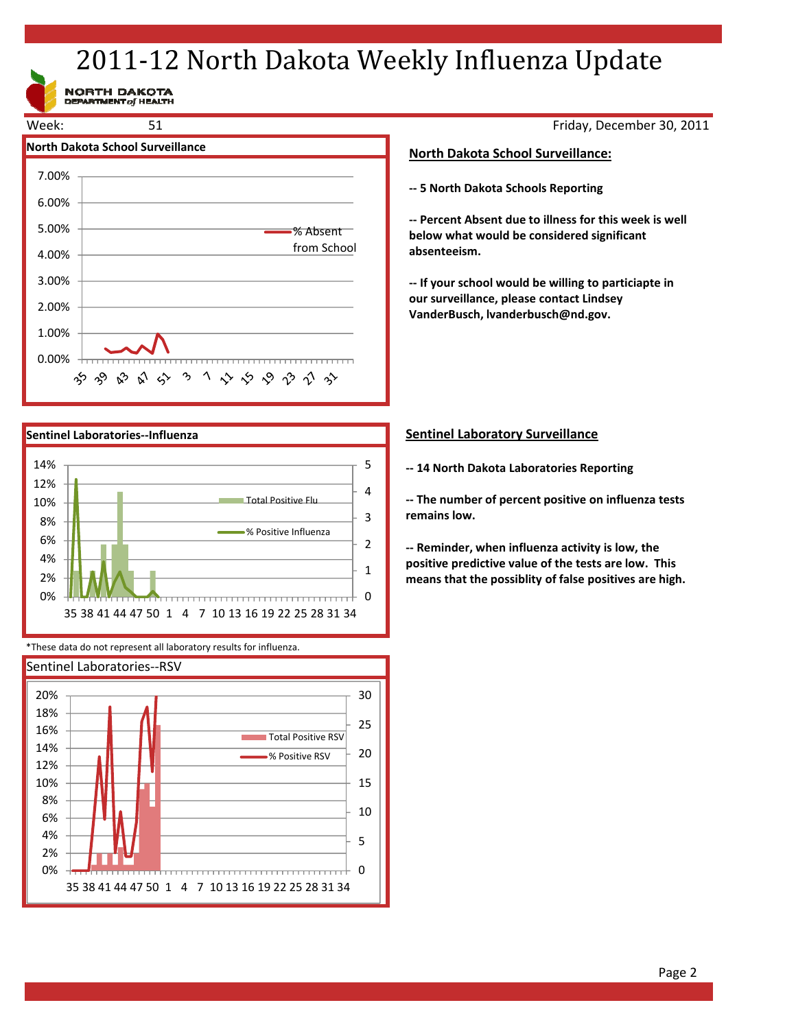# 2011-12 North Dakota Weekly Influenza Update

NORTH DAKOTA<br>DEPARTMENT of HEALTH





\*These data do not represent all laboratory results for influenza.



Friday, December 30, 2011

## **North Dakota School Surveillance:**

**‐‐ 5 North Dakota Schools Reporting**

**‐‐ Percent Absent due to illness for this week is well below what would be considered significant absenteeism.**

**‐‐ If your school would be willing to particiapte in our surveillance, please contact Lindsey VanderBusch, lvanderbusch@nd.gov.**

## **Sentinel Laboratory Surveillance**

**‐‐ 14 North Dakota Laboratories Reporting**

**‐‐ The number of percent positive on influenza tests remains low.**

**‐‐ Reminder, when influenza activity is low, the positive predictive value of the tests are low. This means that the possiblity of false positives are high.**